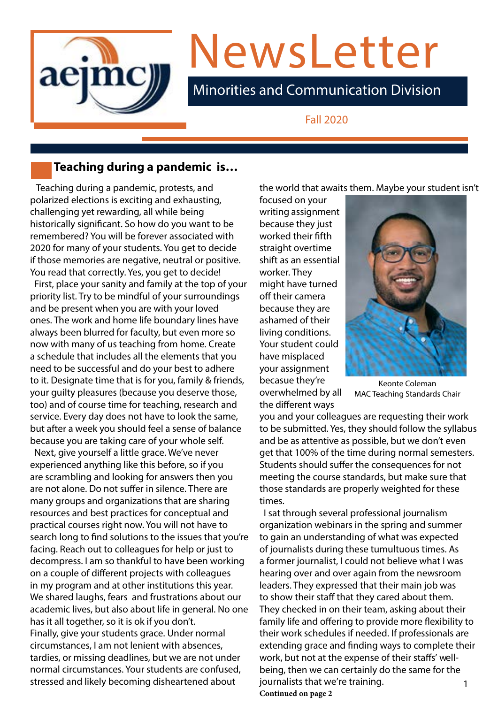

# NewsLetter

Minorities and Communication Division

Fall 2020

# **Teaching during a pandemic is…**

 Teaching during a pandemic, protests, and polarized elections is exciting and exhausting, challenging yet rewarding, all while being historically significant. So how do you want to be remembered? You will be forever associated with 2020 for many of your students. You get to decide if those memories are negative, neutral or positive. You read that correctly. Yes, you get to decide!

 First, place your sanity and family at the top of your priority list. Try to be mindful of your surroundings and be present when you are with your loved ones. The work and home life boundary lines have always been blurred for faculty, but even more so now with many of us teaching from home. Create a schedule that includes all the elements that you need to be successful and do your best to adhere to it. Designate time that is for you, family & friends, your guilty pleasures (because you deserve those, too) and of course time for teaching, research and service. Every day does not have to look the same, but after a week you should feel a sense of balance because you are taking care of your whole self.

 Next, give yourself a little grace. We've never experienced anything like this before, so if you are scrambling and looking for answers then you are not alone. Do not suffer in silence. There are many groups and organizations that are sharing resources and best practices for conceptual and practical courses right now. You will not have to search long to find solutions to the issues that you're facing. Reach out to colleagues for help or just to decompress. I am so thankful to have been working on a couple of different projects with colleagues in my program and at other institutions this year. We shared laughs, fears and frustrations about our academic lives, but also about life in general. No one has it all together, so it is ok if you don't. Finally, give your students grace. Under normal circumstances, I am not lenient with absences, tardies, or missing deadlines, but we are not under normal circumstances. Your students are confused, stressed and likely becoming disheartened about

the world that awaits them. Maybe your student isn't

focused on your writing assignment because they just worked their fifth straight overtime shift as an essential worker. They might have turned off their camera because they are ashamed of their living conditions. Your student could have misplaced your assignment becasue they're<br>
overwhelmed by all MAC Teaching Standard the different ways



MAC Teaching Standards Chair

you and your colleagues are requesting their work to be submitted. Yes, they should follow the syllabus and be as attentive as possible, but we don't even get that 100% of the time during normal semesters. Students should suffer the consequences for not meeting the course standards, but make sure that those standards are properly weighted for these times.

 I sat through several professional journalism organization webinars in the spring and summer to gain an understanding of what was expected of journalists during these tumultuous times. As a former journalist, I could not believe what I was hearing over and over again from the newsroom leaders. They expressed that their main job was to show their staff that they cared about them. They checked in on their team, asking about their family life and offering to provide more flexibility to their work schedules if needed. If professionals are extending grace and finding ways to complete their work, but not at the expense of their staffs' wellbeing, then we can certainly do the same for the journalists that we're training. The manufactured manufactured manufactured manufactured manufactured manufactu **Continued on page 2**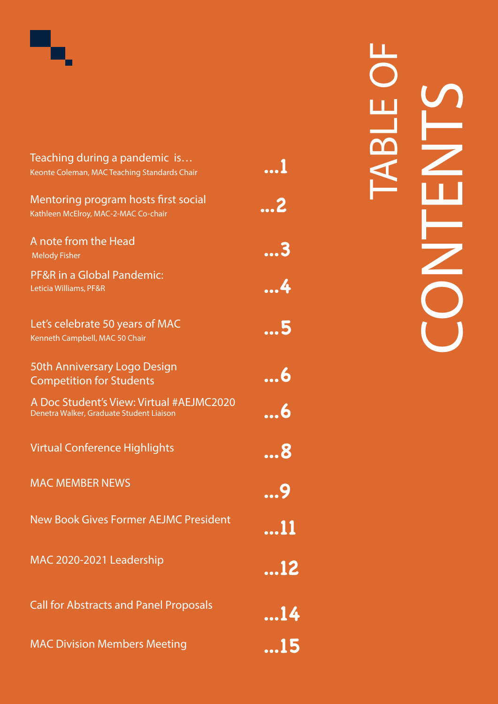

# **...1 ...2 ...3 ...4 ...5 ...6 ...6 ...8 ...9 .. . 1 1 ...12 ...14** Teaching during a pandemic is… Keonte Coleman, MAC Teaching Standards Chair Mentoring program hosts first social Kathleen McElroy, MAC-2-MAC Co-chair A note from the Head Melody Fisher PF&R in a Global Pandemic: Leticia Williams, PF&R Let's celebrate 50 years of MAC Kenneth Campbell, MAC 50 Chair 50th Anniversary Logo Design Competition for Students A Doc Student's View: Virtual #AEJMC2020 Denetra Walker, Graduate Student Liaison Virtual Conference Highlights MAC MEMBER NEWS New Book Gives Former AEJMC President MAC 2020-2021 Leadership Call for Abstracts and Panel Proposals

MAC Division Members Meeting

**...15**

TABLE OF BLE CONTENTS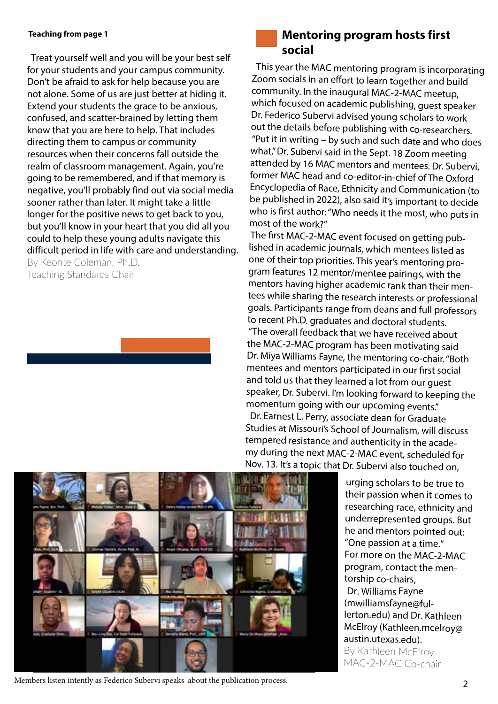#### **Teaching from page 1**

 Treat yourself well and you will be your best self for your students and your campus community. Don't be afraid to ask for help because you are not alone. Some of us are just better at hiding it. Extend your students the grace to be anxious, confused, and scatter-brained by letting them know that you are here to help. That includes directing them to campus or community resources when their concerns fall outside the realm of classroom management. Again, you're going to be remembered, and if that memory is negative, you'll probably find out via social media sooner rather than later. It might take a little longer for the positive news to get back to you, but you'll know in your heart that you did all you could to help these young adults navigate this difficult period in life with care and understanding.

By Keonte Coleman, Ph.D. Teaching Standards Chair

# **Mentoring program hosts first social**

This year the MAC mentoring program is incorporating Zoom socials in an effort to learn together and build community. In the inaugural MAC-2-MAC meetup, which focused on academic publishing, guest speaker Dr. Federico Subervi advised young scholars to work out the details before publishing with co-researchers. "Put it in writing – by such and such date and who does what," Dr. Subervi said in the Sept. 18 Zoom meeting attended by 16 MAC mentors and mentees. Dr. Subervi, former MAC head and co-editor-in-chief of The Oxford Encyclopedia of Race, Ethnicity and Communication (to be published in 2022), also said it's important to decide who is first author: "Who needs it the most, who puts in most of the work?"

The first MAC-2-MAC event focused on getting published in academic journals, which mentees listed as one of their top priorities. This year's mentoring program features 12 mentor/mentee pairings, with the mentors having higher academic rank than their mentees while sharing the research interests or professional goals. Participants range from deans and full professors to recent Ph.D. graduates and doctoral students. "The overall feedback that we have received about the MAC-2-MAC program has been motivating said Dr. Miya Williams Fayne, the mentoring co-chair. "Both mentees and mentors participated in our first social and told us that they learned a lot from our guest speaker, Dr. Subervi. I'm looking forward to keeping the momentum going with our upcoming events."

 Dr. Earnest L. Perry, associate dean for Graduate Studies at Missouri's School of Journalism, will discuss tempered resistance and authenticity in the academy during the next MAC-2-MAC event, scheduled for Nov. 13. It's a topic that Dr. Subervi also touched on,

> urging scholars to be true to their passion when it comes to researching race, ethnicity and underrepresented groups. But he and mentors pointed out: "One passion at a time." For more on the MAC-2-MAC program, contact the mentorship co-chairs, Dr. Williams Fayne (mwilliamsfayne@fullerton.edu) and Dr. Kathleen McElroy (Kathleen.mcelroy@ austin.utexas.edu). By Kathleen McElroy MAC-2-MAC Co-chair



2 Members listen intently as Federico Subervi speaks about the publication process.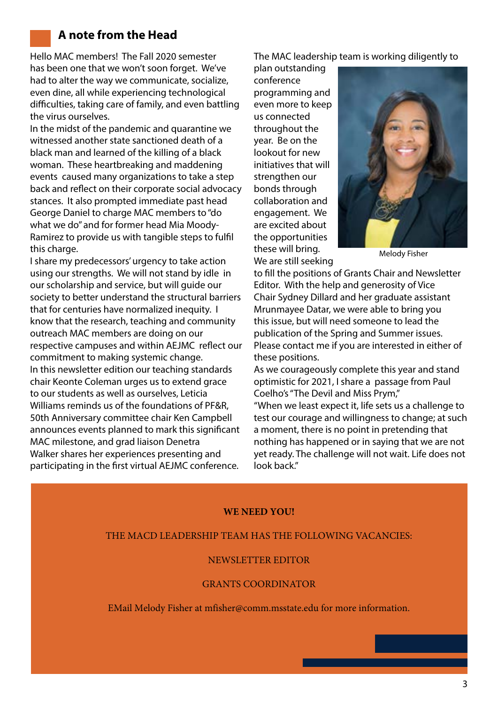# **A note from the Head**

Hello MAC members! The Fall 2020 semester has been one that we won't soon forget. We've had to alter the way we communicate, socialize, even dine, all while experiencing technological difficulties, taking care of family, and even battling the virus ourselves.

In the midst of the pandemic and quarantine we witnessed another state sanctioned death of a black man and learned of the killing of a black woman. These heartbreaking and maddening events caused many organizations to take a step back and reflect on their corporate social advocacy stances. It also prompted immediate past head George Daniel to charge MAC members to "do what we do" and for former head Mia Moody-Ramirez to provide us with tangible steps to fulfil this charge.

I share my predecessors' urgency to take action using our strengths. We will not stand by idle in our scholarship and service, but will guide our society to better understand the structural barriers that for centuries have normalized inequity. I know that the research, teaching and community outreach MAC members are doing on our respective campuses and within AEJMC reflect our commitment to making systemic change. In this newsletter edition our teaching standards chair Keonte Coleman urges us to extend grace to our students as well as ourselves, Leticia Williams reminds us of the foundations of PF&R, 50th Anniversary committee chair Ken Campbell announces events planned to mark this significant MAC milestone, and grad liaison Denetra Walker shares her experiences presenting and participating in the first virtual AEJMC conference.

The MAC leadership team is working diligently to

plan outstanding conference programming and even more to keep us connected throughout the year. Be on the lookout for new initiatives that will strengthen our bonds through collaboration and engagement. We are excited about the opportunities these will bring. We are still seeking



Melody Fisher

to fill the positions of Grants Chair and Newsletter Editor. With the help and generosity of Vice Chair Sydney Dillard and her graduate assistant Mrunmayee Datar, we were able to bring you this issue, but will need someone to lead the publication of the Spring and Summer issues. Please contact me if you are interested in either of these positions.

As we courageously complete this year and stand optimistic for 2021, I share a passage from Paul Coelho's "The Devil and Miss Prym,"

"When we least expect it, life sets us a challenge to test our courage and willingness to change; at such a moment, there is no point in pretending that nothing has happened or in saying that we are not yet ready. The challenge will not wait. Life does not look back."

#### **WE NEED YOU!**

#### THE MACD LEADERSHIP TEAM HAS THE FOLLOWING VACANCIES:

#### NEWSLETTER EDITOR

#### GRANTS COORDINATOR

EMail Melody Fisher at mfisher@comm.msstate.edu for more information.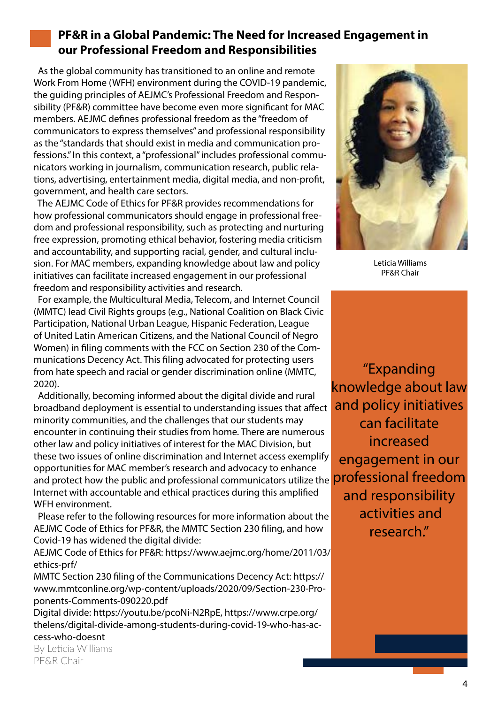# **PF&R in a Global Pandemic: The Need for Increased Engagement in our Professional Freedom and Responsibilities**

 As the global community has transitioned to an online and remote Work From Home (WFH) environment during the COVID-19 pandemic, the guiding principles of AEJMC's Professional Freedom and Responsibility (PF&R) committee have become even more significant for MAC members. AEJMC defines professional freedom as the "freedom of communicators to express themselves" and professional responsibility as the "standards that should exist in media and communication professions." In this context, a "professional" includes professional communicators working in journalism, communication research, public relations, advertising, entertainment media, digital media, and non-profit, government, and health care sectors.

 The AEJMC Code of Ethics for PF&R provides recommendations for how professional communicators should engage in professional freedom and professional responsibility, such as protecting and nurturing free expression, promoting ethical behavior, fostering media criticism and accountability, and supporting racial, gender, and cultural inclusion. For MAC members, expanding knowledge about law and policy initiatives can facilitate increased engagement in our professional freedom and responsibility activities and research.

 For example, the Multicultural Media, Telecom, and Internet Council (MMTC) lead Civil Rights groups (e.g., National Coalition on Black Civic Participation, National Urban League, Hispanic Federation, League of United Latin American Citizens, and the National Council of Negro Women) in filing comments with the FCC on Section 230 of the Communications Decency Act. This filing advocated for protecting users from hate speech and racial or gender discrimination online (MMTC, 2020).

and protect how the public and professional communicators utilize the **professional freedom**  Additionally, becoming informed about the digital divide and rural broadband deployment is essential to understanding issues that affect minority communities, and the challenges that our students may encounter in continuing their studies from home. There are numerous other law and policy initiatives of interest for the MAC Division, but these two issues of online discrimination and Internet access exemplify opportunities for MAC member's research and advocacy to enhance Internet with accountable and ethical practices during this amplified WFH environment.

 Please refer to the following resources for more information about the AEJMC Code of Ethics for PF&R, the MMTC Section 230 filing, and how Covid-19 has widened the digital divide:

AEJMC Code of Ethics for PF&R: https://www.aejmc.org/home/2011/03/ ethics-prf/

MMTC Section 230 filing of the Communications Decency Act: https:// www.mmtconline.org/wp-content/uploads/2020/09/Section-230-Proponents-Comments-090220.pdf

Digital divide: https://youtu.be/pcoNi-N2RpE, https://www.crpe.org/ thelens/digital-divide-among-students-during-covid-19-who-has-access-who-doesnt

By Leticia Williams PF&R Chair



Leticia Williams PF&R Chair

"Expanding knowledge about law and policy initiatives can facilitate increased engagement in our and responsibility activities and research."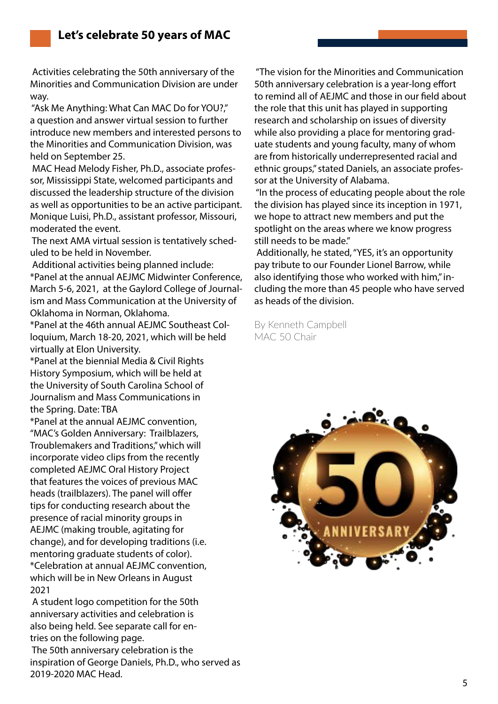Activities celebrating the 50th anniversary of the Minorities and Communication Division are under way.

 "Ask Me Anything: What Can MAC Do for YOU?," a question and answer virtual session to further introduce new members and interested persons to the Minorities and Communication Division, was held on September 25.

 MAC Head Melody Fisher, Ph.D., associate professor, Mississippi State, welcomed participants and discussed the leadership structure of the division as well as opportunities to be an active participant. Monique Luisi, Ph.D., assistant professor, Missouri, moderated the event.

 The next AMA virtual session is tentatively scheduled to be held in November.

 Additional activities being planned include: \*Panel at the annual AEJMC Midwinter Conference, March 5-6, 2021, at the Gaylord College of Journalism and Mass Communication at the University of Oklahoma in Norman, Oklahoma.

\*Panel at the 46th annual AEJMC Southeast Colloquium, March 18-20, 2021, which will be held virtually at Elon University.

\*Panel at the biennial Media & Civil Rights History Symposium, which will be held at the University of South Carolina School of Journalism and Mass Communications in the Spring. Date: TBA

\*Panel at the annual AEJMC convention, "MAC's Golden Anniversary: Trailblazers, Troublemakers and Traditions," which will incorporate video clips from the recently completed AEJMC Oral History Project that features the voices of previous MAC heads (trailblazers). The panel will offer tips for conducting research about the presence of racial minority groups in AEJMC (making trouble, agitating for change), and for developing traditions (i.e. mentoring graduate students of color). \*Celebration at annual AEJMC convention, which will be in New Orleans in August 2021

A student logo competition for the 50th anniversary activities and celebration is also being held. See separate call for entries on the following page.

The 50th anniversary celebration is the inspiration of George Daniels, Ph.D., who served as 2019-2020 MAC Head.

 "The vision for the Minorities and Communication 50th anniversary celebration is a year-long effort to remind all of AEJMC and those in our field about the role that this unit has played in supporting research and scholarship on issues of diversity while also providing a place for mentoring graduate students and young faculty, many of whom are from historically underrepresented racial and ethnic groups," stated Daniels, an associate professor at the University of Alabama.

 "In the process of educating people about the role the division has played since its inception in 1971, we hope to attract new members and put the spotlight on the areas where we know progress still needs to be made."

 Additionally, he stated, "YES, it's an opportunity pay tribute to our Founder Lionel Barrow, while also identifying those who worked with him," including the more than 45 people who have served as heads of the division.

By Kenneth Campbell MAC 50 Chair

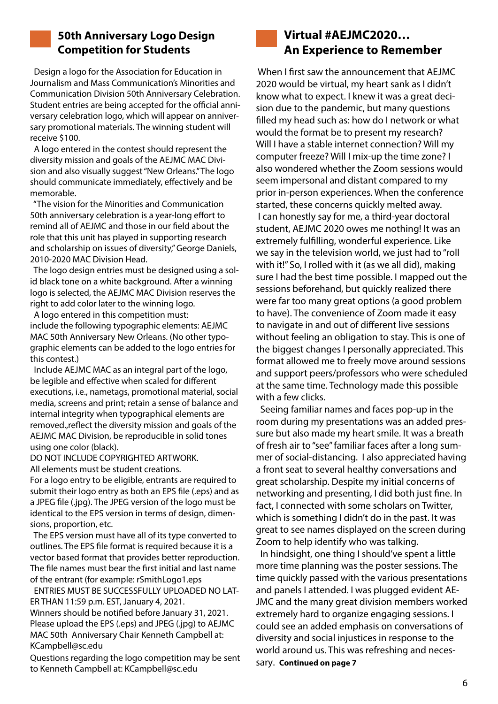

## **50th Anniversary Logo Design Competition for Students**

 Design a logo for the Association for Education in Journalism and Mass Communication's Minorities and Communication Division 50th Anniversary Celebration. Student entries are being accepted for the official anniversary celebration logo, which will appear on anniversary promotional materials. The winning student will receive \$100.

 A logo entered in the contest should represent the diversity mission and goals of the AEJMC MAC Division and also visually suggest "New Orleans." The logo should communicate immediately, effectively and be memorable.

 "The vision for the Minorities and Communication 50th anniversary celebration is a year-long effort to remind all of AEJMC and those in our field about the role that this unit has played in supporting research and scholarship on issues of diversity," George Daniels, 2010-2020 MAC Division Head.

 The logo design entries must be designed using a solid black tone on a white background. After a winning logo is selected, the AEJMC MAC Division reserves the right to add color later to the winning logo.

 A logo entered in this competition must: include the following typographic elements: AEJMC MAC 50th Anniversary New Orleans. (No other typographic elements can be added to the logo entries for this contest.)

 Include AEJMC MAC as an integral part of the logo, be legible and effective when scaled for different executions, i.e., nametags, promotional material, social media, screens and print; retain a sense of balance and internal integrity when typographical elements are removed.,reflect the diversity mission and goals of the AEJMC MAC Division, be reproducible in solid tones using one color (black).

DO NOT INCLUDE COPYRIGHTED ARTWORK. All elements must be student creations.

For a logo entry to be eligible, entrants are required to submit their logo entry as both an EPS file (.eps) and as a JPEG file (.jpg). The JPEG version of the logo must be identical to the EPS version in terms of design, dimensions, proportion, etc.

 The EPS version must have all of its type converted to outlines. The EPS file format is required because it is a vector based format that provides better reproduction. The file names must bear the first initial and last name of the entrant (for example: rSmithLogo1.eps

 ENTRIES MUST BE SUCCESSFULLY UPLOADED NO LAT-ER THAN 11:59 p.m. EST, January 4, 2021.

Winners should be notified before January 31, 2021. Please upload the EPS (.eps) and JPEG (.jpg) to AEJMC MAC 50th Anniversary Chair Kenneth Campbell at: KCampbell@sc.edu

Questions regarding the logo competition may be sent to Kenneth Campbell at: KCampbell@sc.edu



When I first saw the announcement that AEJMC 2020 would be virtual, my heart sank as I didn't know what to expect. I knew it was a great decision due to the pandemic, but many questions filled my head such as: how do I network or what would the format be to present my research? Will I have a stable internet connection? Will my computer freeze? Will I mix-up the time zone? I also wondered whether the Zoom sessions would seem impersonal and distant compared to my prior in-person experiences. When the conference started, these concerns quickly melted away. I can honestly say for me, a third-year doctoral student, AEJMC 2020 owes me nothing! It was an extremely fulfilling, wonderful experience. Like we say in the television world, we just had to "roll with it!" So, I rolled with it (as we all did), making sure I had the best time possible. I mapped out the sessions beforehand, but quickly realized there were far too many great options (a good problem to have). The convenience of Zoom made it easy to navigate in and out of different live sessions without feeling an obligation to stay. This is one of the biggest changes I personally appreciated. This format allowed me to freely move around sessions and support peers/professors who were scheduled at the same time. Technology made this possible with a few clicks.

 Seeing familiar names and faces pop-up in the room during my presentations was an added pressure but also made my heart smile. It was a breath of fresh air to "see" familiar faces after a long summer of social-distancing. I also appreciated having a front seat to several healthy conversations and great scholarship. Despite my initial concerns of networking and presenting, I did both just fine. In fact, I connected with some scholars on Twitter, which is something I didn't do in the past. It was great to see names displayed on the screen during Zoom to help identify who was talking.

 In hindsight, one thing I should've spent a little more time planning was the poster sessions. The time quickly passed with the various presentations and panels I attended. I was plugged evident AE-JMC and the many great division members worked extremely hard to organize engaging sessions. I could see an added emphasis on conversations of diversity and social injustices in response to the world around us. This was refreshing and necessary. **Continued on page 7**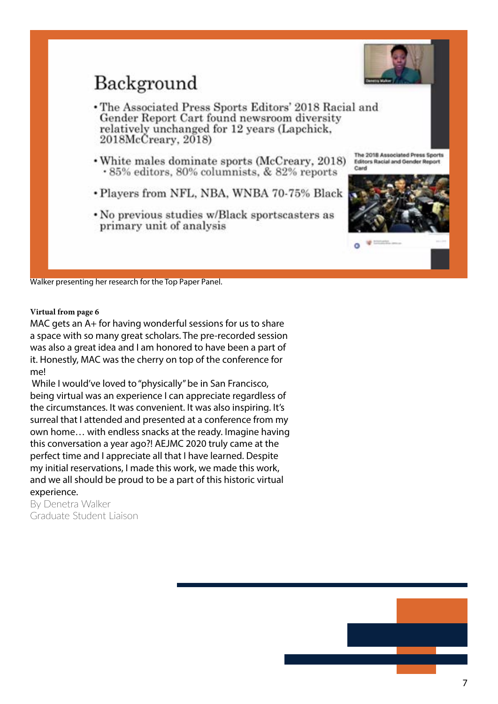

# Background

- The Associated Press Sports Editors' 2018 Racial and Gender Report Cart found newsroom diversity relatively unchanged for 12 years (Lapchick, 2018McCreary, 2018)
- White males dominate sports (McCreary, 2018) .85% editors, 80% columnists, & 82% reports
- Players from NFL, NBA, WNBA 70-75% Black
- No previous studies w/Black sportscasters as primary unit of analysis

The 2018 Associated Press Sports **Editors Racial and Gender Report** 



Walker presenting her research for the Top Paper Panel.

#### **Virtual from page 6**

MAC gets an A+ for having wonderful sessions for us to share a space with so many great scholars. The pre-recorded session was also a great idea and I am honored to have been a part of it. Honestly, MAC was the cherry on top of the conference for me!

While I would've loved to "physically" be in San Francisco, being virtual was an experience I can appreciate regardless of the circumstances. It was convenient. It was also inspiring. It's surreal that I attended and presented at a conference from my own home… with endless snacks at the ready. Imagine having this conversation a year ago?! AEJMC 2020 truly came at the perfect time and I appreciate all that I have learned. Despite my initial reservations, I made this work, we made this work, and we all should be proud to be a part of this historic virtual experience.

By Denetra Walker Graduate Student Liaison

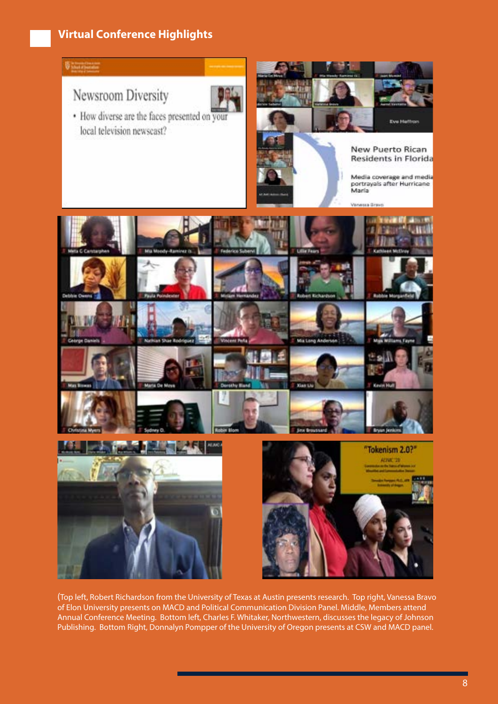# **Virtual Conference Highlights**



(Top left, Robert Richardson from the University of Texas at Austin presents research. Top right, Vanessa Bravo of Elon University presents on MACD and Political Communication Division Panel. Middle, Members attend Annual Conference Meeting. Bottom left, Charles F. Whitaker, Northwestern, discusses the legacy of Johnson Publishing. Bottom Right, Donnalyn Pompper of the University of Oregon presents at CSW and MACD panel.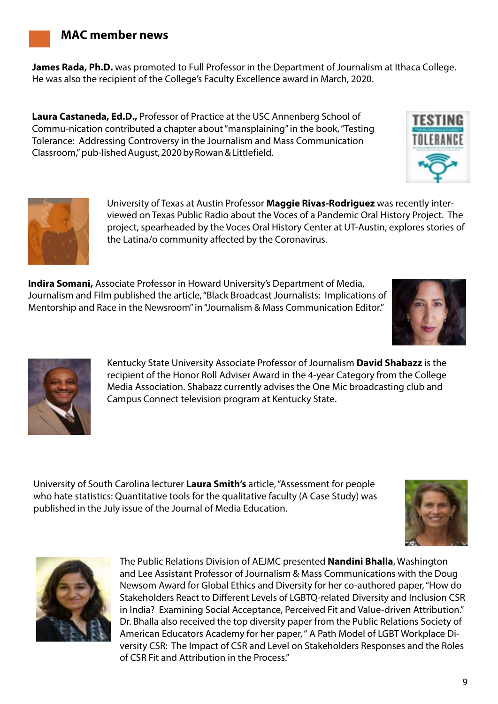**James Rada, Ph.D.** was promoted to Full Professor in the Department of Journalism at Ithaca College. He was also the recipient of the College's Faculty Excellence award in March, 2020.

**Laura Castaneda, Ed.D.,** Professor of Practice at the USC Annenberg School of Commu-nication contributed a chapter about "mansplaining" in the book, "Testing Tolerance: Addressing Controversy in the Journalism and Mass Communication Classroom," pub-lished August, 2020 by Rowan & Littlefield.

> University of Texas at Austin Professor **Maggie Rivas-Rodriguez** was recently interviewed on Texas Public Radio about the Voces of a Pandemic Oral History Project. The project, spearheaded by the Voces Oral History Center at UT-Austin, explores stories of the Latina/o community affected by the Coronavirus.

**Indira Somani,** Associate Professor in Howard University's Department of Media, Journalism and Film published the article, "Black Broadcast Journalists: Implications of Mentorship and Race in the Newsroom" in "Journalism & Mass Communication Editor."

> Kentucky State University Associate Professor of Journalism **David Shabazz** is the recipient of the Honor Roll Adviser Award in the 4-year Category from the College Media Association. Shabazz currently advises the One Mic broadcasting club and Campus Connect television program at Kentucky State.

University of South Carolina lecturer **Laura Smith's** article, "Assessment for people who hate statistics: Quantitative tools for the qualitative faculty (A Case Study) was published in the July issue of the Journal of Media Education.



The Public Relations Division of AEJMC presented **Nandini Bhalla**, Washington and Lee Assistant Professor of Journalism & Mass Communications with the Doug Newsom Award for Global Ethics and Diversity for her co-authored paper, "How do Stakeholders React to Different Levels of LGBTQ-related Diversity and Inclusion CSR in India? Examining Social Acceptance, Perceived Fit and Value-driven Attribution." Dr. Bhalla also received the top diversity paper from the Public Relations Society of American Educators Academy for her paper, " A Path Model of LGBT Workplace Diversity CSR: The Impact of CSR and Level on Stakeholders Responses and the Roles of CSR Fit and Attribution in the Process."







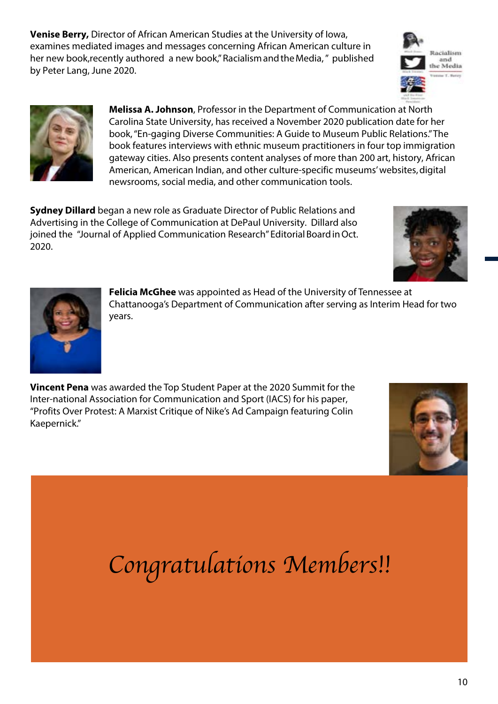**Venise Berry,** Director of African American Studies at the University of Iowa, examines mediated images and messages concerning African American culture in her new book,recently authored a new book," Racialism and the Media," published by Peter Lang, June 2020.





**Melissa A. Johnson**, Professor in the Department of Communication at North Carolina State University, has received a November 2020 publication date for her book, "En-gaging Diverse Communities: A Guide to Museum Public Relations." The book features interviews with ethnic museum practitioners in four top immigration gateway cities. Also presents content analyses of more than 200 art, history, African American, American Indian, and other culture-specific museums' websites, digital newsrooms, social media, and other communication tools.

**Sydney Dillard** began a new role as Graduate Director of Public Relations and Advertising in the College of Communication at DePaul University. Dillard also joined the "Journal of Applied Communication Research" Editorial Board in Oct. 2020.





**Felicia McGhee** was appointed as Head of the University of Tennessee at Chattanooga's Department of Communication after serving as Interim Head for two years.

**Vincent Pena** was awarded the Top Student Paper at the 2020 Summit for the Inter-national Association for Communication and Sport (IACS) for his paper, "Profits Over Protest: A Marxist Critique of Nike's Ad Campaign featuring Colin Kaepernick."



*Congratulations Members!!*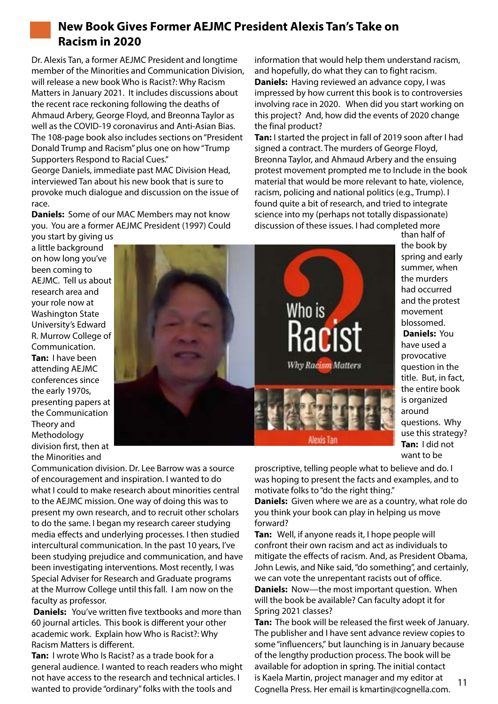

# **New Book Gives Former AEJMC President Alexis Tan's Take on Racism in 2020**

Dr. Alexis Tan, a former AEJMC President and longtime member of the Minorities and Communication Division, will release a new book Who is Racist?: Why Racism Matters in January 2021. It includes discussions about the recent race reckoning following the deaths of Ahmaud Arbery, George Floyd, and Breonna Taylor as well as the COVID-19 coronavirus and Anti-Asian Bias. The 108-page book also includes sections on "President Donald Trump and Racism" plus one on how "Trump Supporters Respond to Racial Cues." George Daniels, immediate past MAC Division Head,

interviewed Tan about his new book that is sure to provoke much dialogue and discussion on the issue of race.

**Daniels:** Some of our MAC Members may not know you. You are a former AEJMC President (1997) Could you start by giving us

information that would help them understand racism, and hopefully, do what they can to fight racism. **Daniels:** Having reviewed an advance copy, I was impressed by how current this book is to controversies involving race in 2020. When did you start working on this project? And, how did the events of 2020 change the final product?

**Tan:** I started the project in fall of 2019 soon after I had signed a contract. The murders of George Floyd, Breonna Taylor, and Ahmaud Arbery and the ensuing protest movement prompted me to Include in the book material that would be more relevant to hate, violence, racism, policing and national politics (e.g., Trump). I found quite a bit of research, and tried to integrate science into my (perhaps not totally dispassionate) discussion of these issues. I had completed more than half of

a little background on how long you've been coming to AEJMC. Tell us about research area and your role now at Washington State University's Edward R. Murrow College of Communication. **Tan:** I have been attending AEJMC conferences since the early 1970s, presenting papers at the Communication Theory and Methodology division first, then at the Minorities and



**Daniels:** You have used a provocative question in the title. But, in fact, the entire book is organized around questions. Why use this strategy? **Tan:** I did not want to be proscriptive, telling people what to believe and do. I was hoping to present the facts and examples, and to motivate folks to "do the right thing."

the book by spring and early summer, when

had occurred and the protest movement blossomed.

**Daniels:** Given where we are as a country, what role do you think your book can play in helping us move forward?

**Tan:** Well, if anyone reads it, I hope people will confront their own racism and act as individuals to mitigate the effects of racism. And, as President Obama, John Lewis, and Nike said, "do something", and certainly, we can vote the unrepentant racists out of office. **Daniels:** Now—the most important question. When will the book be available? Can faculty adopt it for Spring 2021 classes?

**Tan:** The book will be released the first week of January. The publisher and I have sent advance review copies to some "influencers," but launching is in January because of the lengthy production process. The book will be available for adoption in spring. The initial contact is Kaela Martin, project manager and my editor at 11<br>Cognella Press. Her email is kmartin@cognella.com.

Communication division. Dr. Lee Barrow was a source of encouragement and inspiration. I wanted to do what I could to make research about minorities central to the AEJMC mission. One way of doing this was to present my own research, and to recruit other scholars to do the same. I began my research career studying media effects and underlying processes. I then studied intercultural communication. In the past 10 years, I've been studying prejudice and communication, and have been investigating interventions. Most recently, I was Special Adviser for Research and Graduate programs at the Murrow College until this fall. I am now on the faculty as professor.

**Daniels:** You've written five textbooks and more than 60 journal articles. This book is different your other academic work. Explain how Who is Racist?: Why Racism Matters is different.

**Tan:** I wrote Who Is Racist? as a trade book for a general audience. I wanted to reach readers who might not have access to the research and technical articles. I wanted to provide "ordinary" folks with the tools and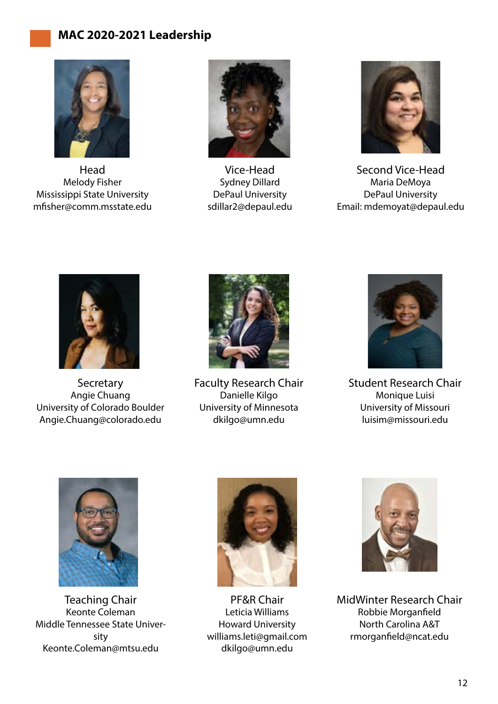# **MAC 2020-2021 Leadership**



Head Melody Fisher Mississippi State University mfisher@comm.msstate.edu



Vice-Head Sydney Dillard DePaul University sdillar2@depaul.edu



Second Vice-Head Maria DeMoya DePaul University Email: mdemoyat@depaul.edu



**Secretary** Angie Chuang University of Colorado Boulder Angie.Chuang@colorado.edu



Faculty Research Chair Danielle Kilgo University of Minnesota dkilgo@umn.edu



Student Research Chair Monique Luisi University of Missouri luisim@missouri.edu



Teaching Chair Keonte Coleman Middle Tennessee State University Keonte.Coleman@mtsu.edu



PF&R Chair Leticia Williams Howard University williams.leti@gmail.com dkilgo@umn.edu



MidWinter Research Chair Robbie Morganfield North Carolina A&T rmorganfield@ncat.edu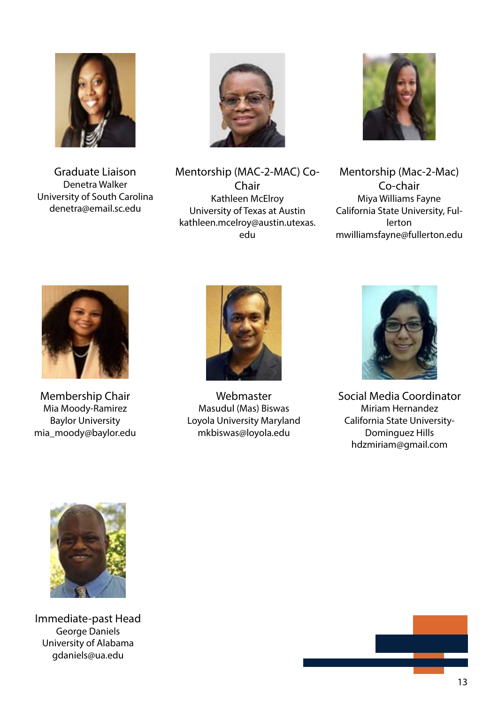

Graduate Liaison Denetra Walker University of South Carolina denetra@email.sc.edu



Mentorship (MAC-2-MAC) Co-Chair Kathleen McElroy University of Texas at Austin kathleen.mcelroy@austin.utexas. edu



Mentorship (Mac-2-Mac) Co-chair Miya Williams Fayne California State University, Fullerton mwilliamsfayne@fullerton.edu



Membership Chair Mia Moody-Ramirez Baylor University mia\_moody@baylor.edu



Webmaster Masudul (Mas) Biswas Loyola University Maryland mkbiswas@loyola.edu



Social Media Coordinator Miriam Hernandez California State University-Dominguez Hills hdzmiriam@gmail.com



Immediate-past Head George Daniels University of Alabama gdaniels@ua.edu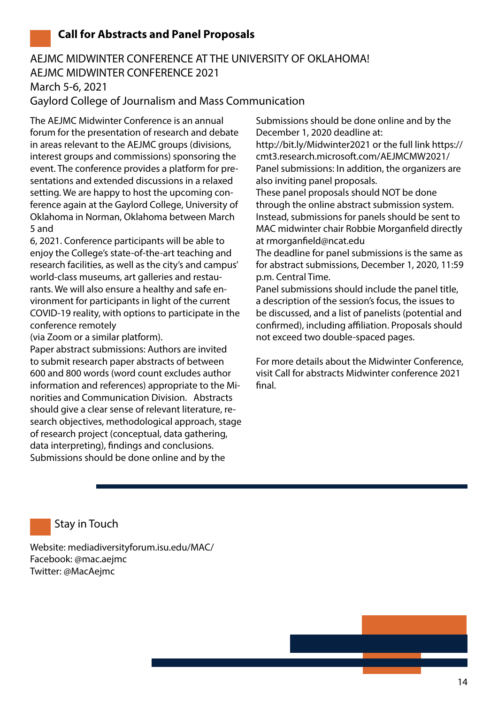## **Call for Abstracts and Panel Proposals**

# AEJMC MIDWINTER CONFERENCE AT THE UNIVERSITY OF OKLAHOMA! AEJMC MIDWINTER CONFERENCE 2021 March 5-6, 2021 Gaylord College of Journalism and Mass Communication

The AEJMC Midwinter Conference is an annual forum for the presentation of research and debate in areas relevant to the AEJMC groups (divisions, interest groups and commissions) sponsoring the event. The conference provides a platform for presentations and extended discussions in a relaxed setting. We are happy to host the upcoming conference again at the Gaylord College, University of Oklahoma in Norman, Oklahoma between March 5 and

6, 2021. Conference participants will be able to enjoy the College's state-of-the-art teaching and research facilities, as well as the city's and campus' world-class museums, art galleries and restaurants. We will also ensure a healthy and safe environment for participants in light of the current COVID-19 reality, with options to participate in the conference remotely

(via Zoom or a similar platform).

Paper abstract submissions: Authors are invited to submit research paper abstracts of between 600 and 800 words (word count excludes author information and references) appropriate to the Minorities and Communication Division. Abstracts should give a clear sense of relevant literature, research objectives, methodological approach, stage of research project (conceptual, data gathering, data interpreting), findings and conclusions. Submissions should be done online and by the

Submissions should be done online and by the December 1, 2020 deadline at: http://bit.ly/Midwinter2021 or the full link https:// cmt3.research.microsoft.com/AEJMCMW2021/ Panel submissions: In addition, the organizers are also inviting panel proposals.

These panel proposals should NOT be done through the online abstract submission system. Instead, submissions for panels should be sent to MAC midwinter chair Robbie Morganfield directly at rmorganfield@ncat.edu

The deadline for panel submissions is the same as for abstract submissions, December 1, 2020, 11:59 p.m. Central Time.

Panel submissions should include the panel title, a description of the session's focus, the issues to be discussed, and a list of panelists (potential and confirmed), including affiliation. Proposals should not exceed two double-spaced pages.

For more details about the Midwinter Conference, visit Call for abstracts Midwinter conference 2021 final.

Stay in Touch

Website: mediadiversityforum.isu.edu/MAC/ Facebook: @mac.aejmc Twitter: @MacAejmc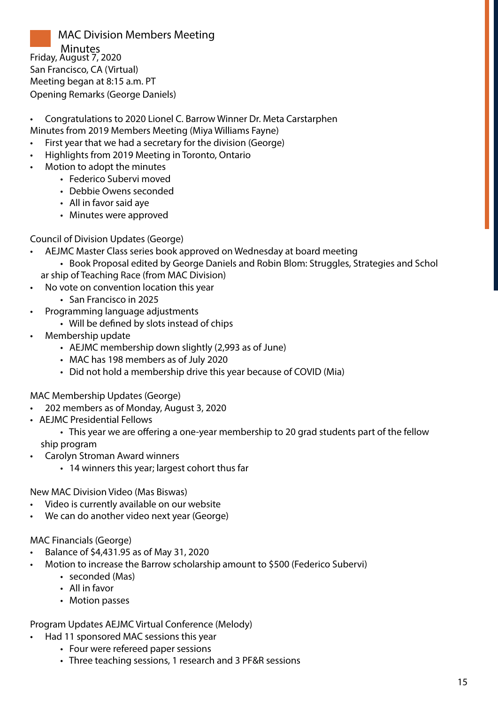MAC Division Members Meeting Minutes Friday, August 7, 2020 San Francisco, CA (Virtual) Meeting began at 8:15 a.m. PT Opening Remarks (George Daniels)

- Congratulations to 2020 Lionel C. Barrow Winner Dr. Meta Carstarphen Minutes from 2019 Members Meeting (Miya Williams Fayne)
- First year that we had a secretary for the division (George)
- Highlights from 2019 Meeting in Toronto, Ontario
- Motion to adopt the minutes
	- Federico Subervi moved
	- Debbie Owens seconded
	- All in favor said aye
	- Minutes were approved

#### Council of Division Updates (George)

- AEJMC Master Class series book approved on Wednesday at board meeting • Book Proposal edited by George Daniels and Robin Blom: Struggles, Strategies and Schol ar ship of Teaching Race (from MAC Division)
- No vote on convention location this year
	- San Francisco in 2025
- Programming language adjustments
	- Will be defined by slots instead of chips
- Membership update
	- AEJMC membership down slightly (2,993 as of June)
	- MAC has 198 members as of July 2020
	- Did not hold a membership drive this year because of COVID (Mia)

#### MAC Membership Updates (George)

- 202 members as of Monday, August 3, 2020
- AEJMC Presidential Fellows
	- This year we are offering a one-year membership to 20 grad students part of the fellow ship program
- Carolyn Stroman Award winners
	- 14 winners this year; largest cohort thus far

New MAC Division Video (Mas Biswas)

- Video is currently available on our website
- We can do another video next year (George)

#### MAC Financials (George)

- Balance of \$4,431.95 as of May 31, 2020
- Motion to increase the Barrow scholarship amount to \$500 (Federico Subervi)
	- seconded (Mas)
	- All in favor
	- Motion passes

Program Updates AEJMC Virtual Conference (Melody)

- Had 11 sponsored MAC sessions this year
	- Four were refereed paper sessions
	- Three teaching sessions, 1 research and 3 PF&R sessions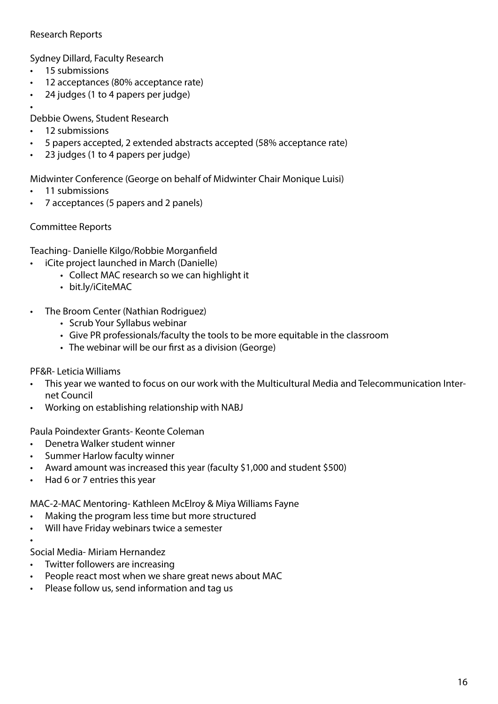#### Research Reports

Sydney Dillard, Faculty Research

- 15 submissions
- 12 acceptances (80% acceptance rate)
- 24 judges (1 to 4 papers per judge)
- •

Debbie Owens, Student Research

- 12 submissions
- 5 papers accepted, 2 extended abstracts accepted (58% acceptance rate)
- 23 judges (1 to 4 papers per judge)

Midwinter Conference (George on behalf of Midwinter Chair Monique Luisi)

- 11 submissions
- 7 acceptances (5 papers and 2 panels)

#### Committee Reports

Teaching- Danielle Kilgo/Robbie Morganfield

- iCite project launched in March (Danielle)
	- Collect MAC research so we can highlight it
		- bit.ly/iCiteMAC
- The Broom Center (Nathian Rodriguez)
	- Scrub Your Syllabus webinar
	- Give PR professionals/faculty the tools to be more equitable in the classroom
	- The webinar will be our first as a division (George)

#### PF&R- Leticia Williams

- This year we wanted to focus on our work with the Multicultural Media and Telecommunication Internet Council
- Working on establishing relationship with NABJ

Paula Poindexter Grants- Keonte Coleman

- Denetra Walker student winner
- Summer Harlow faculty winner
- Award amount was increased this year (faculty \$1,000 and student \$500)
- Had 6 or 7 entries this year

MAC-2-MAC Mentoring- Kathleen McElroy & Miya Williams Fayne

- Making the program less time but more structured
- Will have Friday webinars twice a semester

Social Media- Miriam Hernandez

•

- Twitter followers are increasing
- People react most when we share great news about MAC
- Please follow us, send information and tag us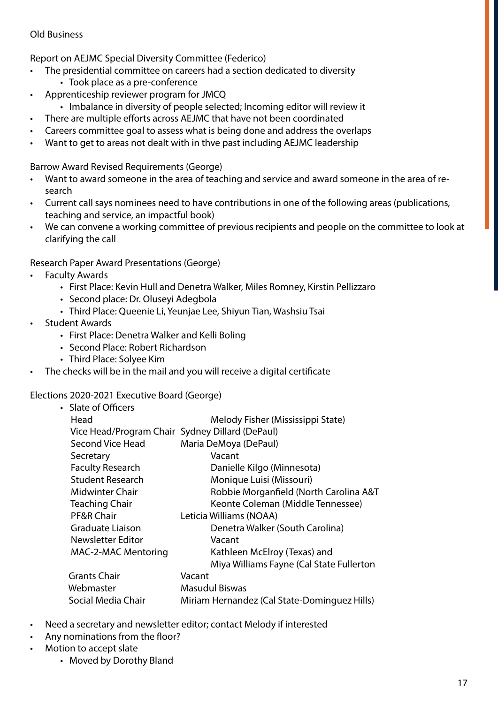#### Old Business

Report on AEJMC Special Diversity Committee (Federico)

- The presidential committee on careers had a section dedicated to diversity • Took place as a pre-conference
- Apprenticeship reviewer program for JMCQ
	- Imbalance in diversity of people selected; Incoming editor will review it
- There are multiple efforts across AEJMC that have not been coordinated
- Careers committee goal to assess what is being done and address the overlaps
- Want to get to areas not dealt with in thve past including AEJMC leadership

Barrow Award Revised Requirements (George)

- Want to award someone in the area of teaching and service and award someone in the area of research
- Current call says nominees need to have contributions in one of the following areas (publications, teaching and service, an impactful book)
- We can convene a working committee of previous recipients and people on the committee to look at clarifying the call

Research Paper Award Presentations (George)

- **Faculty Awards** 
	- First Place: Kevin Hull and Denetra Walker, Miles Romney, Kirstin Pellizzaro
	- Second place: Dr. Oluseyi Adegbola
	- Third Place: Queenie Li, Yeunjae Lee, Shiyun Tian, Washsiu Tsai
- Student Awards
	- First Place: Denetra Walker and Kelli Boling
	- Second Place: Robert Richardson
	- Third Place: Solyee Kim
- The checks will be in the mail and you will receive a digital certificate

#### Elections 2020-2021 Executive Board (George)

| • Slate of Officers                             |                                              |
|-------------------------------------------------|----------------------------------------------|
| Head                                            | Melody Fisher (Mississippi State)            |
| Vice Head/Program Chair Sydney Dillard (DePaul) |                                              |
| Second Vice Head                                | Maria DeMoya (DePaul)                        |
| Secretary                                       | Vacant                                       |
| <b>Faculty Research</b>                         | Danielle Kilgo (Minnesota)                   |
| <b>Student Research</b>                         | Monique Luisi (Missouri)                     |
| Midwinter Chair                                 | Robbie Morganfield (North Carolina A&T       |
| <b>Teaching Chair</b>                           | Keonte Coleman (Middle Tennessee)            |
| PF&R Chair                                      | Leticia Williams (NOAA)                      |
| <b>Graduate Liaison</b>                         | Denetra Walker (South Carolina)              |
| Newsletter Editor                               | Vacant                                       |
| <b>MAC-2-MAC Mentoring</b>                      | Kathleen McElroy (Texas) and                 |
|                                                 | Miya Williams Fayne (Cal State Fullerton     |
| <b>Grants Chair</b>                             | Vacant                                       |
| Webmaster                                       | <b>Masudul Biswas</b>                        |
| Social Media Chair                              | Miriam Hernandez (Cal State-Dominguez Hills) |
|                                                 |                                              |

- Need a secretary and newsletter editor; contact Melody if interested
- Any nominations from the floor?
- Motion to accept slate
	- Moved by Dorothy Bland